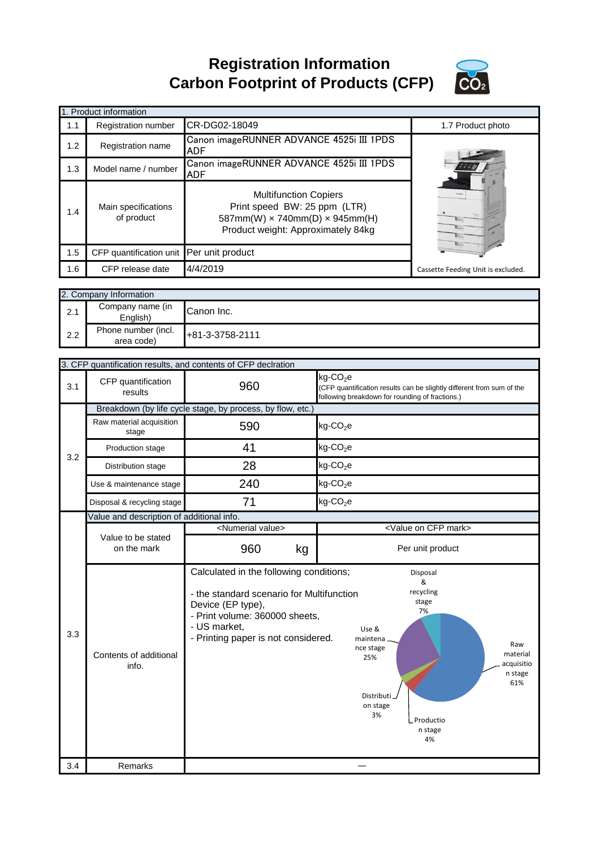**Registration Information Carbon Footprint of Products (CFP)**



|     | 1. Product information                   |                                                                                                                                                    |                                    |
|-----|------------------------------------------|----------------------------------------------------------------------------------------------------------------------------------------------------|------------------------------------|
| 1.1 | Registration number                      | CR-DG02-18049                                                                                                                                      | 1.7 Product photo                  |
| 1.2 | Registration name                        | Canon imageRUNNER ADVANCE 4525i III 1PDS<br>ADF                                                                                                    |                                    |
| 1.3 | Model name / number                      | Canon imageRUNNER ADVANCE 4525i III 1PDS<br>ADF                                                                                                    |                                    |
| 1.4 | Main specifications<br>of product        | <b>Multifunction Copiers</b><br>Print speed BW: 25 ppm (LTR)<br>587mm(W) $\times$ 740mm(D) $\times$ 945mm(H)<br>Product weight: Approximately 84kg | <b>Kiddley</b>                     |
| 1.5 | CFP quantification unit Per unit product |                                                                                                                                                    |                                    |
| 1.6 | CFP release date                         | 4/4/2019                                                                                                                                           | Cassette Feeding Unit is excluded. |
|     |                                          |                                                                                                                                                    |                                    |
|     | 2. Company Information                   |                                                                                                                                                    |                                    |
| 2.1 | Company name (in<br>English)             | Canon Inc.                                                                                                                                         |                                    |
| 2.2 | Phone number (incl.<br>area code)        | +81-3-3758-2111                                                                                                                                    |                                    |

|            |                                                            | 3. CFP quantification results, and contents of CFP declration                                                                                                                                      |                                                                                                                                                                                                        |  |
|------------|------------------------------------------------------------|----------------------------------------------------------------------------------------------------------------------------------------------------------------------------------------------------|--------------------------------------------------------------------------------------------------------------------------------------------------------------------------------------------------------|--|
| 3.1        | CFP quantification<br>results                              | 960                                                                                                                                                                                                | $kg$ -CO <sub>2</sub> e<br>(CFP quantification results can be slightly different from sum of the<br>following breakdown for rounding of fractions.)                                                    |  |
|            | Breakdown (by life cycle stage, by process, by flow, etc.) |                                                                                                                                                                                                    |                                                                                                                                                                                                        |  |
| 3.2        | Raw material acquisition<br>stage                          | 590                                                                                                                                                                                                | $kg$ -CO <sub>2</sub> e                                                                                                                                                                                |  |
|            | Production stage                                           | 41                                                                                                                                                                                                 | $kg$ -CO <sub>2</sub> e                                                                                                                                                                                |  |
|            | Distribution stage                                         | 28                                                                                                                                                                                                 | $kg$ -CO <sub>2</sub> e                                                                                                                                                                                |  |
|            | Use & maintenance stage                                    | 240                                                                                                                                                                                                | $kg$ -CO <sub>2</sub> e                                                                                                                                                                                |  |
|            | Disposal & recycling stage                                 | 71                                                                                                                                                                                                 | $kg$ -CO <sub>2</sub> e                                                                                                                                                                                |  |
|            | Value and description of additional info.                  |                                                                                                                                                                                                    |                                                                                                                                                                                                        |  |
|            |                                                            | <numerial value=""></numerial>                                                                                                                                                                     | <value cfp="" mark="" on=""></value>                                                                                                                                                                   |  |
|            | Value to be stated<br>on the mark                          | 960<br>kg                                                                                                                                                                                          | Per unit product                                                                                                                                                                                       |  |
|            |                                                            |                                                                                                                                                                                                    |                                                                                                                                                                                                        |  |
| 3.3<br>3.4 | Contents of additional<br>info.<br>Remarks                 | Calculated in the following conditions;<br>- the standard scenario for Multifunction<br>Device (EP type),<br>- Print volume: 360000 sheets,<br>- US market,<br>- Printing paper is not considered. | Disposal<br>&<br>recycling<br>stage<br>7%<br>Use &<br>maintena<br>Raw<br>nce stage<br>material<br>25%<br>acquisitio<br>n stage<br>61%<br>Distributi.<br>on stage<br>3%<br>L Productio<br>n stage<br>4% |  |